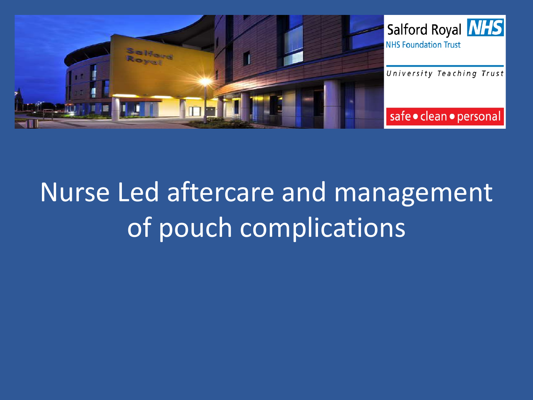

# Nurse Led aftercare and management of pouch complications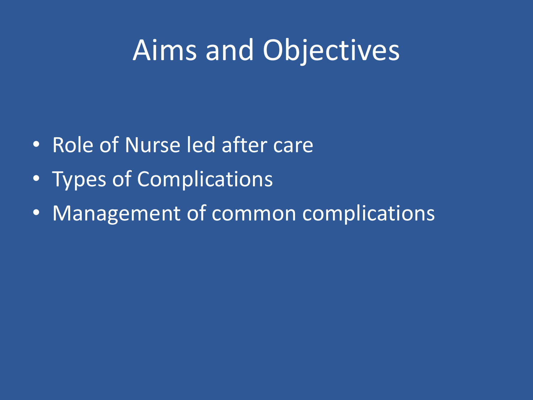# Aims and Objectives

- Role of Nurse led after care
- Types of Complications
- Management of common complications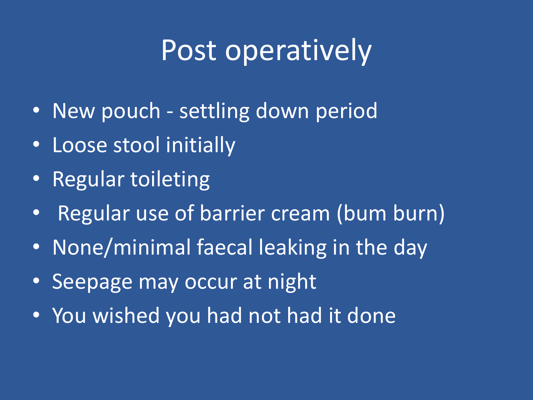# Post operatively

- New pouch settling down period
- Loose stool initially
- Regular toileting
- Regular use of barrier cream (bum burn)
- None/minimal faecal leaking in the day
- Seepage may occur at night
- You wished you had not had it done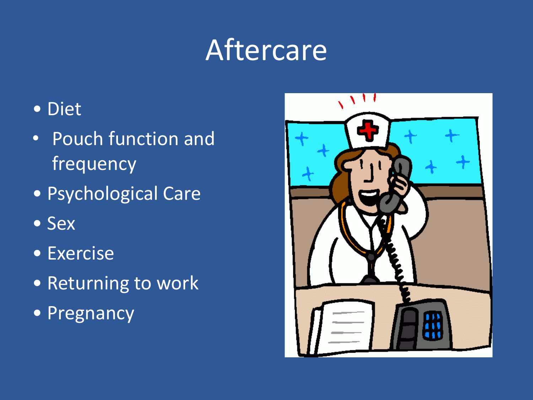# Aftercare

### • Diet

- Pouch function and frequency
- Psychological Care
- • Sex
- • Exercise
- Returning to work
- Pregnancy

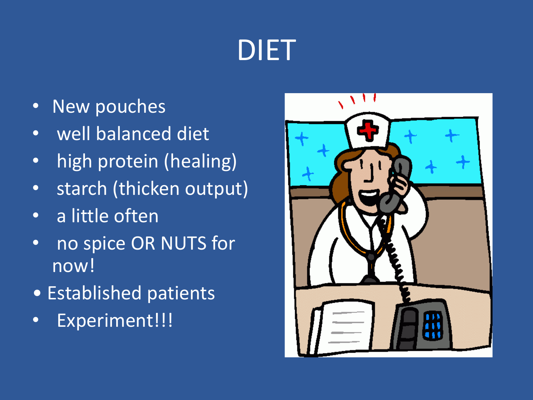# DIET

- New pouches
- well balanced diet
- high protein (healing)
- starch (thicken output)
- a little often
- no spice OR NUTS for now!
- Established patients
- Experiment!!!

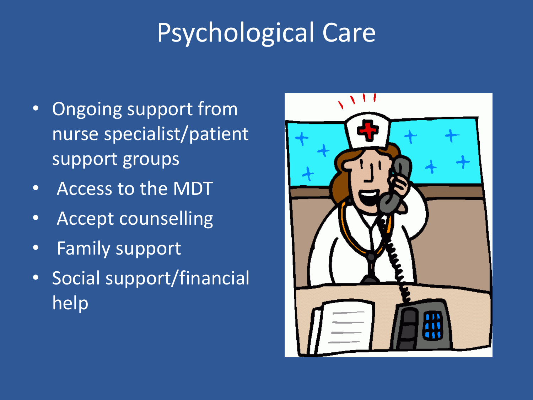# Psychological Care

- Ongoing support from nurse specialist/patient support groups
- Access to the MDT
- Accept counselling
- Family support
- Social support/financial help

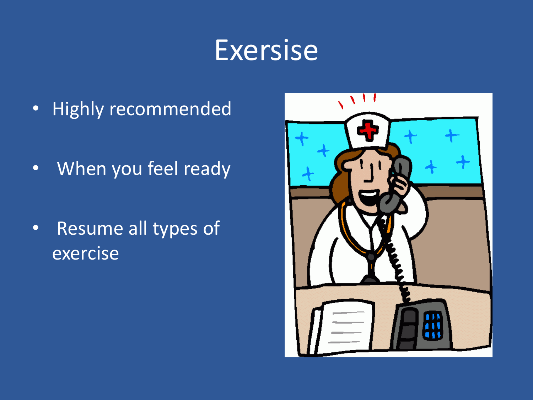### **Exersise**

- Highly recommended
- When you feel ready
- Resume all types of exercise

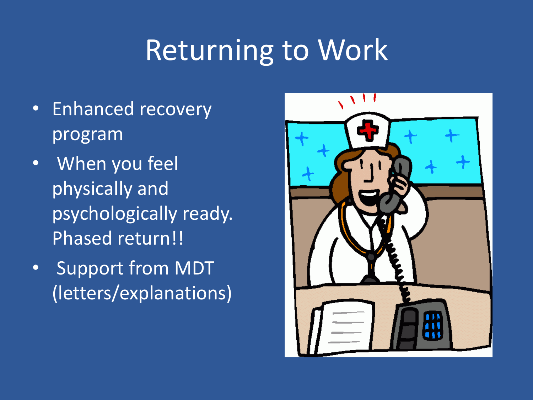# **Returning to Work**

- Enhanced recovery program
- When you feel physically and psychologically ready. Phased return!!
- Support from MDT (letters/explanations)

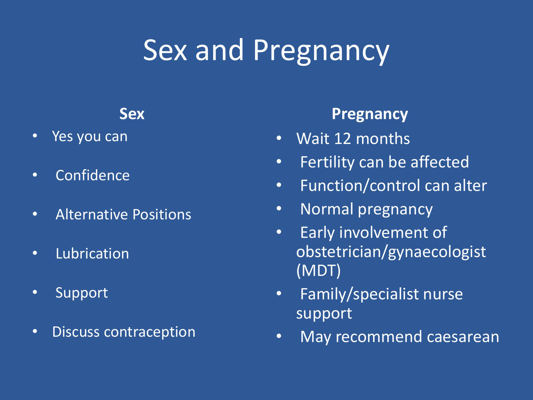# Sex and Pregnancy

#### **Sex**

- Yes you can
- Confidence
- Alternative Positions
- Lubrication
- Support
- Discuss contraception

#### **Pregnancy**

- Wait 12 months
- Fertility can be affected
- Function/control can alter
- Normal pregnancy
- Early involvement of obstetrician/gynaecologist (MDT)
- Family/specialist nurse support
- May recommend caesarean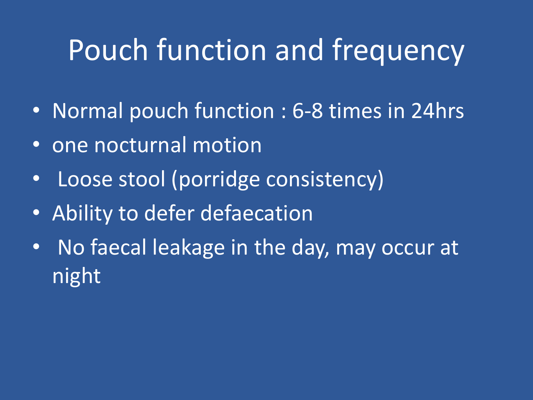# Pouch function and frequency

- Normal pouch function : 6-8 times in 24hrs
- one nocturnal motion
- Loose stool (porridge consistency)
- Ability to defer defaecation
- No faecal leakage in the day, may occur at night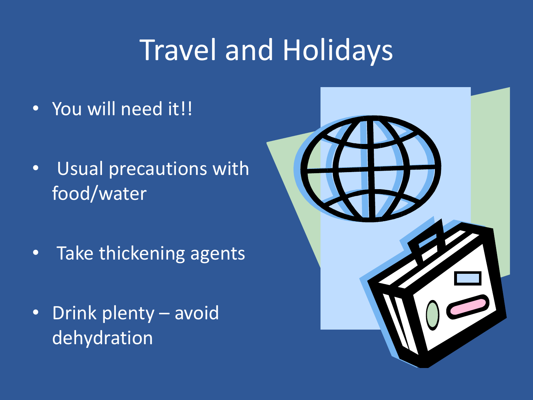# **Travel and Holidays**

- You will need it!!
- Usual precautions with food/water
- Take thickening agents
- Drink plenty avoid dehydration

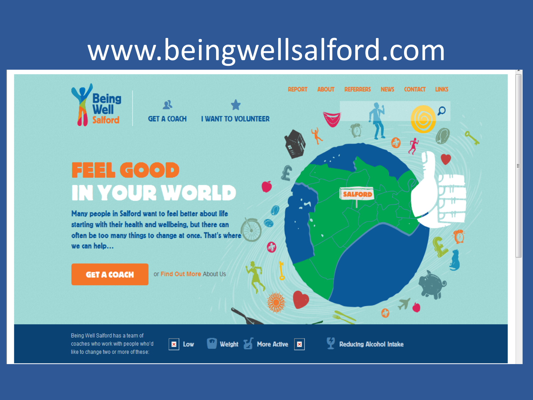### www.beingwellsalford.com

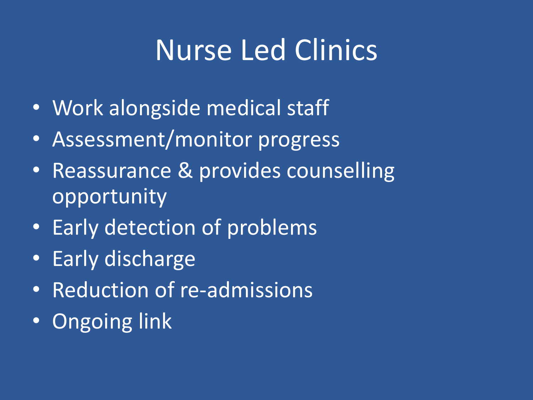# Nurse Led Clinics

- Work alongside medical staff
- Assessment/monitor progress
- Reassurance & provides counselling opportunity
- Early detection of problems
- Early discharge
- Reduction of re-admissions
- Ongoing link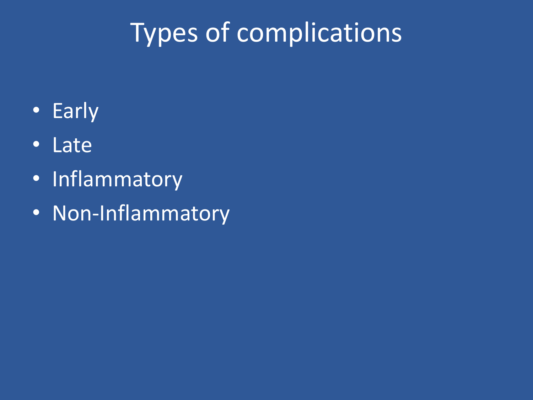# Types of complications

- Early
- Late
- Inflammatory
- Non-Inflammatory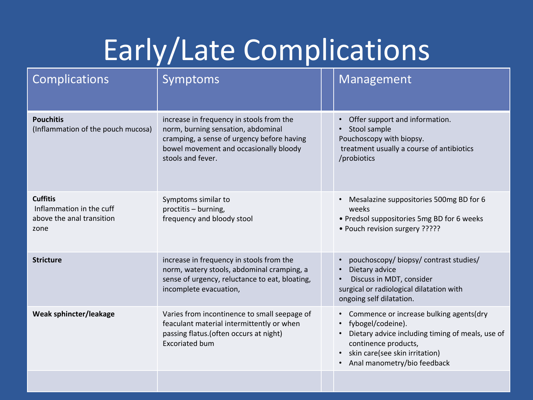# Early/Late Complications

| <b>Complications</b>                                                             | Symptoms                                                                                                                                                                                    | Management                                                                                                                                                                                                                                       |
|----------------------------------------------------------------------------------|---------------------------------------------------------------------------------------------------------------------------------------------------------------------------------------------|--------------------------------------------------------------------------------------------------------------------------------------------------------------------------------------------------------------------------------------------------|
| <b>Pouchitis</b><br>(Inflammation of the pouch mucosa)                           | increase in frequency in stools from the<br>norm, burning sensation, abdominal<br>cramping, a sense of urgency before having<br>bowel movement and occasionally bloody<br>stools and fever. | Offer support and information.<br>$\bullet$<br>Stool sample<br>Pouchoscopy with biopsy.<br>treatment usually a course of antibiotics<br>/probiotics                                                                                              |
| <b>Cuffitis</b><br>Inflammation in the cuff<br>above the anal transition<br>zone | Symptoms similar to<br>proctitis - burning,<br>frequency and bloody stool                                                                                                                   | Mesalazine suppositories 500mg BD for 6<br>$\bullet$<br>weeks<br>• Predsol suppositories 5mg BD for 6 weeks<br>• Pouch revision surgery ?????                                                                                                    |
| <b>Stricture</b>                                                                 | increase in frequency in stools from the<br>norm, watery stools, abdominal cramping, a<br>sense of urgency, reluctance to eat, bloating,<br>incomplete evacuation,                          | pouchoscopy/ biopsy/ contrast studies/<br>$\bullet$<br>Dietary advice<br>$\bullet$<br>Discuss in MDT, consider<br>$\bullet$<br>surgical or radiological dilatation with<br>ongoing self dilatation.                                              |
| Weak sphincter/leakage                                                           | Varies from incontinence to small seepage of<br>feaculant material intermittently or when<br>passing flatus. (often occurs at night)<br><b>Excoriated bum</b>                               | Commence or increase bulking agents(dry<br>$\bullet$<br>fybogel/codeine).<br>$\bullet$<br>Dietary advice including timing of meals, use of<br>continence products,<br>skin care(see skin irritation)<br>$\bullet$<br>Anal manometry/bio feedback |
|                                                                                  |                                                                                                                                                                                             |                                                                                                                                                                                                                                                  |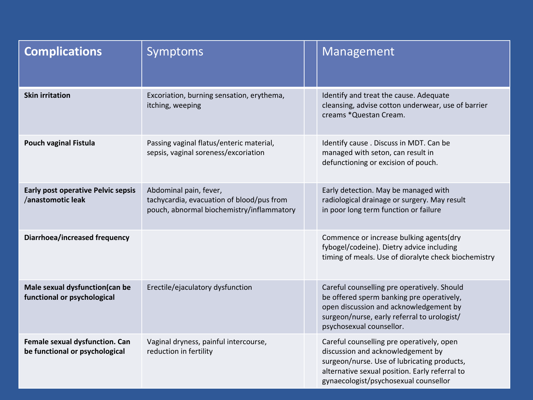| <b>Complications</b>                                             | <b>Symptoms</b>                                                                                                  | Management                                                                                                                                                                                                               |
|------------------------------------------------------------------|------------------------------------------------------------------------------------------------------------------|--------------------------------------------------------------------------------------------------------------------------------------------------------------------------------------------------------------------------|
| <b>Skin irritation</b>                                           | Excoriation, burning sensation, erythema,<br>itching, weeping                                                    | Identify and treat the cause. Adequate<br>cleansing, advise cotton underwear, use of barrier<br>creams *Questan Cream.                                                                                                   |
| <b>Pouch vaginal Fistula</b>                                     | Passing vaginal flatus/enteric material,<br>sepsis, vaginal soreness/excoriation                                 | Identify cause . Discuss in MDT. Can be<br>managed with seton, can result in<br>defunctioning or excision of pouch.                                                                                                      |
| <b>Early post operative Pelvic sepsis</b><br>/anastomotic leak   | Abdominal pain, fever,<br>tachycardia, evacuation of blood/pus from<br>pouch, abnormal biochemistry/inflammatory | Early detection. May be managed with<br>radiological drainage or surgery. May result<br>in poor long term function or failure                                                                                            |
| Diarrhoea/increased frequency                                    |                                                                                                                  | Commence or increase bulking agents(dry<br>fybogel/codeine). Dietry advice including<br>timing of meals. Use of dioralyte check biochemistry                                                                             |
| Male sexual dysfunction(can be<br>functional or psychological    | Erectile/ejaculatory dysfunction                                                                                 | Careful counselling pre operatively. Should<br>be offered sperm banking pre operatively,<br>open discussion and acknowledgement by<br>surgeon/nurse, early referral to urologist/<br>psychosexual counsellor.            |
| Female sexual dysfunction. Can<br>be functional or psychological | Vaginal dryness, painful intercourse,<br>reduction in fertility                                                  | Careful counselling pre operatively, open<br>discussion and acknowledgement by<br>surgeon/nurse. Use of lubricating products,<br>alternative sexual position. Early referral to<br>gynaecologist/psychosexual counsellor |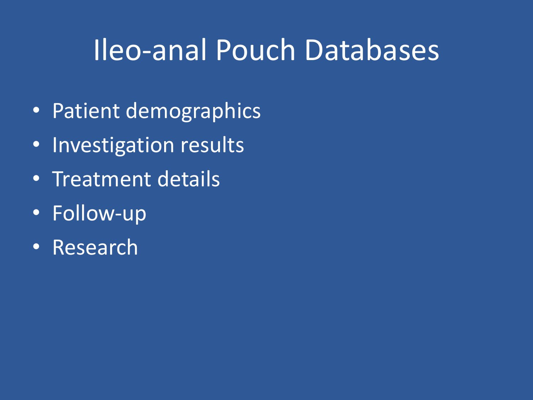## Ileo-anal Pouch Databases

- Patient demographics
- Investigation results
- Treatment details
- Follow-up
- Research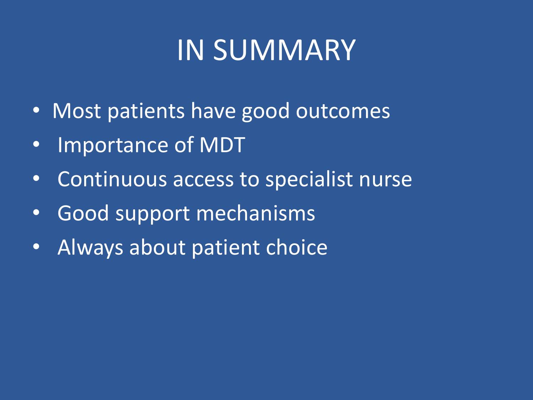# IN SUMMARY

- Most patients have good outcomes
- Importance of MDT
- Continuous access to specialist nurse
- Good support mechanisms
- Always about patient choice